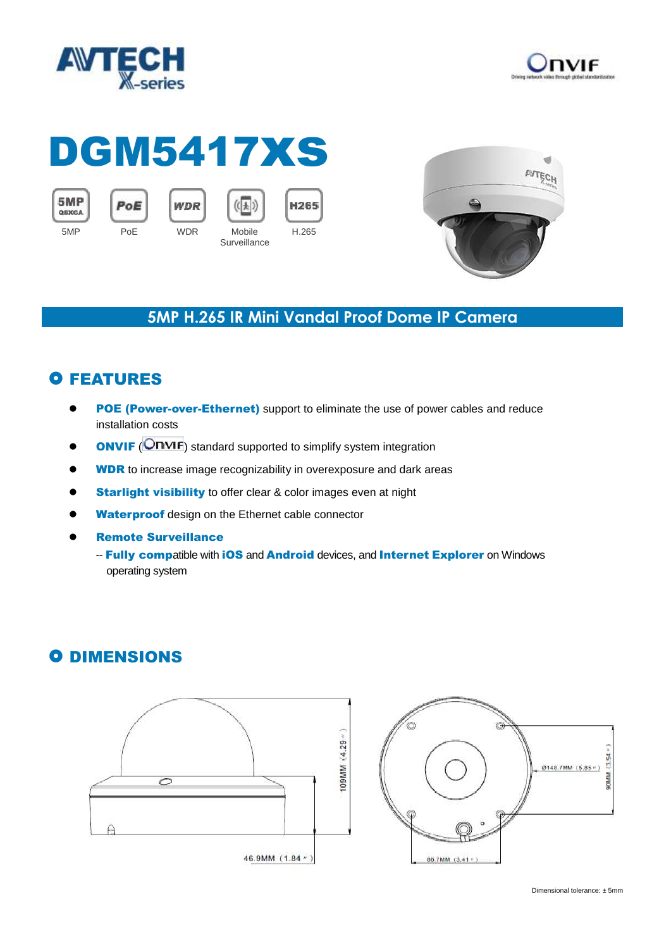



# DGM5417xs

PoE





 $((\n\downarrow)$ 



### **5MP H.265 IR Mini Vandal Proof Dome IP Camera**

## **O FEATURES**

- POE (Power-over-Ethernet) support to eliminate the use of power cables and reduce installation costs
- **ONVIF** (**ONVIF**) standard supported to simplify system integration
- **WDR** to increase image recognizability in overexposure and dark areas
- **Starlight visibility** to offer clear & color images even at night
- Waterproof design on the Ethernet cable connector
- Remote Surveillance
	- -- Fully compatible with iOS and Android devices, and Internet Explorer on Windows operating system

## **O DIMENSIONS**





Dimensional tolerance: ± 5mm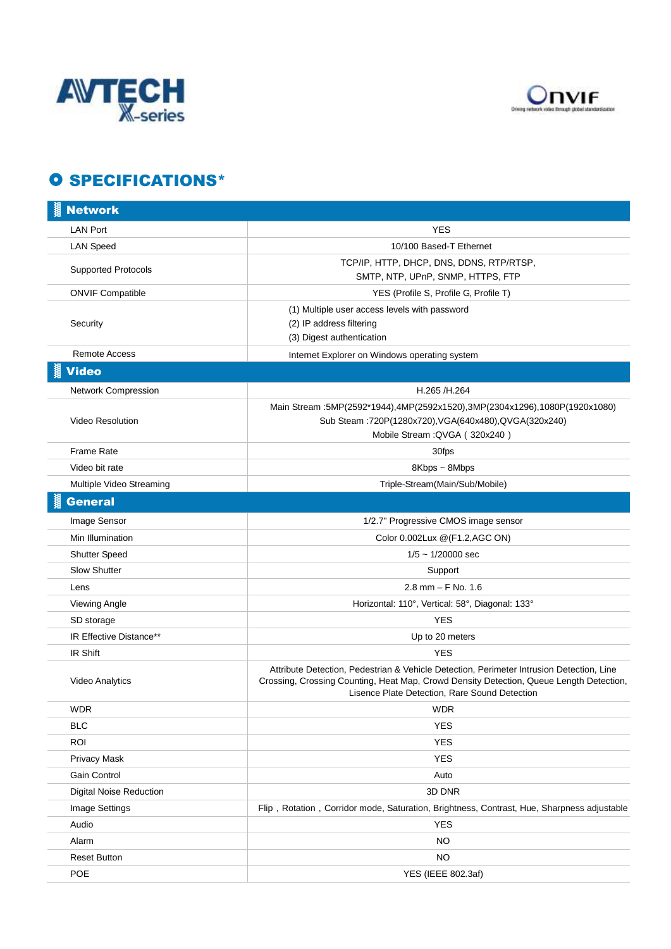



### O SPECIFICATIONS\*

| <b>Network</b>             |                                                                                                                                                                                                                                      |
|----------------------------|--------------------------------------------------------------------------------------------------------------------------------------------------------------------------------------------------------------------------------------|
| <b>LAN Port</b>            | YES                                                                                                                                                                                                                                  |
| <b>LAN Speed</b>           | 10/100 Based-T Ethernet                                                                                                                                                                                                              |
| <b>Supported Protocols</b> | TCP/IP, HTTP, DHCP, DNS, DDNS, RTP/RTSP,<br>SMTP, NTP, UPnP, SNMP, HTTPS, FTP                                                                                                                                                        |
| <b>ONVIF Compatible</b>    | YES (Profile S, Profile G, Profile T)                                                                                                                                                                                                |
| Security                   | (1) Multiple user access levels with password<br>(2) IP address filtering<br>(3) Digest authentication                                                                                                                               |
| <b>Remote Access</b>       | Internet Explorer on Windows operating system                                                                                                                                                                                        |
| <b>Video</b>               |                                                                                                                                                                                                                                      |
| Network Compression        | H.265 /H.264                                                                                                                                                                                                                         |
| Video Resolution           | Main Stream :5MP(2592*1944),4MP(2592x1520),3MP(2304x1296),1080P(1920x1080)<br>Sub Steam : 720P(1280x720), VGA(640x480), QVGA(320x240)<br>Mobile Stream: QVGA (320x240)                                                               |
| <b>Frame Rate</b>          | 30fps                                                                                                                                                                                                                                |
| Video bit rate             | 8Kbps ~ 8Mbps                                                                                                                                                                                                                        |
| Multiple Video Streaming   | Triple-Stream(Main/Sub/Mobile)                                                                                                                                                                                                       |
| <b>General</b>             |                                                                                                                                                                                                                                      |
| Image Sensor               | 1/2.7" Progressive CMOS image sensor                                                                                                                                                                                                 |
| Min Illumination           | Color 0.002Lux @(F1.2,AGC ON)                                                                                                                                                                                                        |
| <b>Shutter Speed</b>       | $1/5 \sim 1/20000$ sec                                                                                                                                                                                                               |
| <b>Slow Shutter</b>        | Support                                                                                                                                                                                                                              |
| Lens                       | $2.8$ mm $-$ F No. 1.6                                                                                                                                                                                                               |
| Viewing Angle              | Horizontal: 110°, Vertical: 58°, Diagonal: 133°                                                                                                                                                                                      |
| SD storage                 | <b>YES</b>                                                                                                                                                                                                                           |
| IR Effective Distance**    | Up to 20 meters                                                                                                                                                                                                                      |
| IR Shift                   | <b>YES</b>                                                                                                                                                                                                                           |
| Video Analytics            | Attribute Detection, Pedestrian & Vehicle Detection, Perimeter Intrusion Detection, Line<br>Crossing, Crossing Counting, Heat Map, Crowd Density Detection, Queue Length Detection,<br>Lisence Plate Detection, Rare Sound Detection |
| <b>WDR</b>                 | <b>WDR</b>                                                                                                                                                                                                                           |
| <b>BLC</b>                 | <b>YES</b>                                                                                                                                                                                                                           |
| <b>ROI</b>                 | <b>YES</b>                                                                                                                                                                                                                           |
| Privacy Mask               | <b>YES</b>                                                                                                                                                                                                                           |
| Gain Control               | Auto                                                                                                                                                                                                                                 |
| Digital Noise Reduction    | 3D DNR                                                                                                                                                                                                                               |
| Image Settings             | Flip, Rotation, Corridor mode, Saturation, Brightness, Contrast, Hue, Sharpness adjustable                                                                                                                                           |
| Audio                      | <b>YES</b>                                                                                                                                                                                                                           |
| Alarm                      | <b>NO</b>                                                                                                                                                                                                                            |
| <b>Reset Button</b>        | <b>NO</b>                                                                                                                                                                                                                            |
| POE                        | YES (IEEE 802.3af)                                                                                                                                                                                                                   |
|                            |                                                                                                                                                                                                                                      |